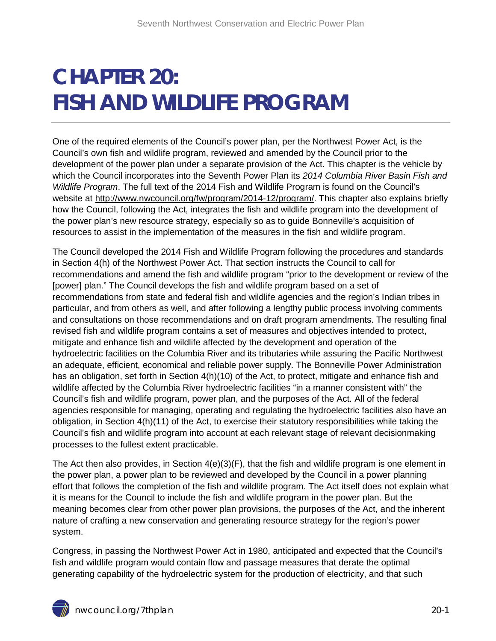## **CHAPTER 20: FISH AND WILDLIFE PROGRAM**

One of the required elements of the Council's power plan, per the Northwest Power Act, is the Council's own fish and wildlife program, reviewed and amended by the Council prior to the development of the power plan under a separate provision of the Act. This chapter is the vehicle by which the Council incorporates into the Seventh Power Plan its *2014 Columbia River Basin Fish and Wildlife Program*. The full text of the 2014 Fish and Wildlife Program is found on the Council's website at [http://www.nwcouncil.org/fw/program/2014-12/program/.](http://www.nwcouncil.org/fw/program/2014-12/program/) This chapter also explains briefly how the Council, following the Act, integrates the fish and wildlife program into the development of the power plan's new resource strategy, especially so as to guide Bonneville's acquisition of resources to assist in the implementation of the measures in the fish and wildlife program.

The Council developed the 2014 Fish and Wildlife Program following the procedures and standards in Section 4(h) of the Northwest Power Act. That section instructs the Council to call for recommendations and amend the fish and wildlife program "prior to the development or review of the [power] plan." The Council develops the fish and wildlife program based on a set of recommendations from state and federal fish and wildlife agencies and the region's Indian tribes in particular, and from others as well, and after following a lengthy public process involving comments and consultations on those recommendations and on draft program amendments. The resulting final revised fish and wildlife program contains a set of measures and objectives intended to protect, mitigate and enhance fish and wildlife affected by the development and operation of the hydroelectric facilities on the Columbia River and its tributaries while assuring the Pacific Northwest an adequate, efficient, economical and reliable power supply. The Bonneville Power Administration has an obligation, set forth in Section 4(h)(10) of the Act, to protect, mitigate and enhance fish and wildlife affected by the Columbia River hydroelectric facilities "in a manner consistent with" the Council's fish and wildlife program, power plan, and the purposes of the Act. All of the federal agencies responsible for managing, operating and regulating the hydroelectric facilities also have an obligation, in Section 4(h)(11) of the Act, to exercise their statutory responsibilities while taking the Council's fish and wildlife program into account at each relevant stage of relevant decisionmaking processes to the fullest extent practicable.

The Act then also provides, in Section 4(e)(3)(F), that the fish and wildlife program is one element in the power plan, a power plan to be reviewed and developed by the Council in a power planning effort that follows the completion of the fish and wildlife program. The Act itself does not explain what it is means for the Council to include the fish and wildlife program in the power plan. But the meaning becomes clear from other power plan provisions, the purposes of the Act, and the inherent nature of crafting a new conservation and generating resource strategy for the region's power system.

Congress, in passing the Northwest Power Act in 1980, anticipated and expected that the Council's fish and wildlife program would contain flow and passage measures that derate the optimal generating capability of the hydroelectric system for the production of electricity, and that such

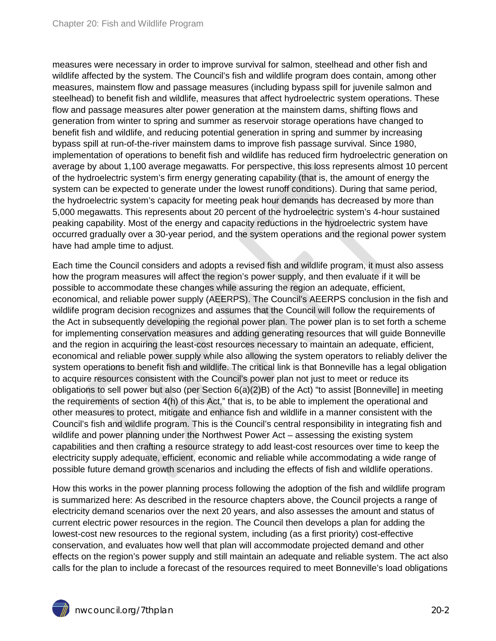measures were necessary in order to improve survival for salmon, steelhead and other fish and wildlife affected by the system. The Council's fish and wildlife program does contain, among other measures, mainstem flow and passage measures (including bypass spill for juvenile salmon and steelhead) to benefit fish and wildlife, measures that affect hydroelectric system operations. These flow and passage measures alter power generation at the mainstem dams, shifting flows and generation from winter to spring and summer as reservoir storage operations have changed to benefit fish and wildlife, and reducing potential generation in spring and summer by increasing bypass spill at run-of-the-river mainstem dams to improve fish passage survival. Since 1980, implementation of operations to benefit fish and wildlife has reduced firm hydroelectric generation on average by about 1,100 average megawatts. For perspective, this loss represents almost 10 percent of the hydroelectric system's firm energy generating capability (that is, the amount of energy the system can be expected to generate under the lowest runoff conditions). During that same period, the hydroelectric system's capacity for meeting peak hour demands has decreased by more than 5,000 megawatts. This represents about 20 percent of the hydroelectric system's 4-hour sustained peaking capability. Most of the energy and capacity reductions in the hydroelectric system have occurred gradually over a 30-year period, and the system operations and the regional power system have had ample time to adjust.

Each time the Council considers and adopts a revised fish and wildlife program, it must also assess how the program measures will affect the region's power supply, and then evaluate if it will be possible to accommodate these changes while assuring the region an adequate, efficient, economical, and reliable power supply (AEERPS). The Council's AEERPS conclusion in the fish and wildlife program decision recognizes and assumes that the Council will follow the requirements of the Act in subsequently developing the regional power plan. The power plan is to set forth a scheme for implementing conservation measures and adding generating resources that will guide Bonneville and the region in acquiring the least-cost resources necessary to maintain an adequate, efficient, economical and reliable power supply while also allowing the system operators to reliably deliver the system operations to benefit fish and wildlife. The critical link is that Bonneville has a legal obligation to acquire resources consistent with the Council's power plan not just to meet or reduce its obligations to sell power but also (per Section 6(a)(2)B) of the Act) "to assist [Bonneville] in meeting the requirements of section 4(h) of this Act," that is, to be able to implement the operational and other measures to protect, mitigate and enhance fish and wildlife in a manner consistent with the Council's fish and wildlife program. This is the Council's central responsibility in integrating fish and wildlife and power planning under the Northwest Power Act – assessing the existing system capabilities and then crafting a resource strategy to add least-cost resources over time to keep the electricity supply adequate, efficient, economic and reliable while accommodating a wide range of possible future demand growth scenarios and including the effects of fish and wildlife operations.

How this works in the power planning process following the adoption of the fish and wildlife program is summarized here: As described in the resource chapters above, the Council projects a range of electricity demand scenarios over the next 20 years, and also assesses the amount and status of current electric power resources in the region. The Council then develops a plan for adding the lowest-cost new resources to the regional system, including (as a first priority) cost-effective conservation, and evaluates how well that plan will accommodate projected demand and other effects on the region's power supply and still maintain an adequate and reliable system. The act also calls for the plan to include a forecast of the resources required to meet Bonneville's load obligations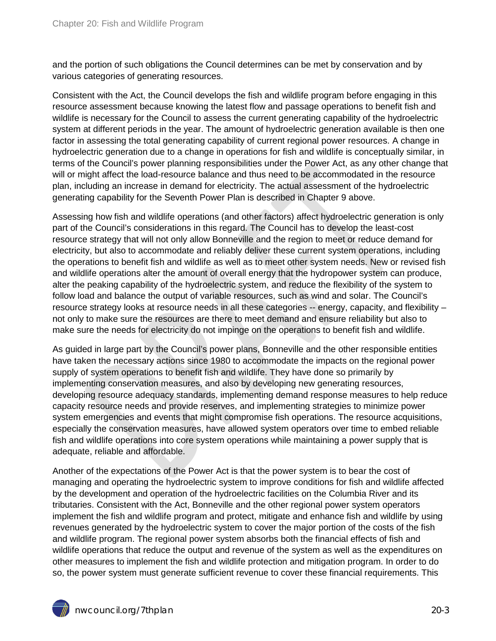and the portion of such obligations the Council determines can be met by conservation and by various categories of generating resources.

Consistent with the Act, the Council develops the fish and wildlife program before engaging in this resource assessment because knowing the latest flow and passage operations to benefit fish and wildlife is necessary for the Council to assess the current generating capability of the hydroelectric system at different periods in the year. The amount of hydroelectric generation available is then one factor in assessing the total generating capability of current regional power resources. A change in hydroelectric generation due to a change in operations for fish and wildlife is conceptually similar, in terms of the Council's power planning responsibilities under the Power Act, as any other change that will or might affect the load-resource balance and thus need to be accommodated in the resource plan, including an increase in demand for electricity. The actual assessment of the hydroelectric generating capability for the Seventh Power Plan is described in Chapter 9 above.

Assessing how fish and wildlife operations (and other factors) affect hydroelectric generation is only part of the Council's considerations in this regard. The Council has to develop the least-cost resource strategy that will not only allow Bonneville and the region to meet or reduce demand for electricity, but also to accommodate and reliably deliver these current system operations, including the operations to benefit fish and wildlife as well as to meet other system needs. New or revised fish and wildlife operations alter the amount of overall energy that the hydropower system can produce, alter the peaking capability of the hydroelectric system, and reduce the flexibility of the system to follow load and balance the output of variable resources, such as wind and solar. The Council's resource strategy looks at resource needs in all these categories -- energy, capacity, and flexibility – not only to make sure the resources are there to meet demand and ensure reliability but also to make sure the needs for electricity do not impinge on the operations to benefit fish and wildlife.

As guided in large part by the Council's power plans, Bonneville and the other responsible entities have taken the necessary actions since 1980 to accommodate the impacts on the regional power supply of system operations to benefit fish and wildlife. They have done so primarily by implementing conservation measures, and also by developing new generating resources, developing resource adequacy standards, implementing demand response measures to help reduce capacity resource needs and provide reserves, and implementing strategies to minimize power system emergencies and events that might compromise fish operations. The resource acquisitions, especially the conservation measures, have allowed system operators over time to embed reliable fish and wildlife operations into core system operations while maintaining a power supply that is adequate, reliable and affordable.

Another of the expectations of the Power Act is that the power system is to bear the cost of managing and operating the hydroelectric system to improve conditions for fish and wildlife affected by the development and operation of the hydroelectric facilities on the Columbia River and its tributaries. Consistent with the Act, Bonneville and the other regional power system operators implement the fish and wildlife program and protect, mitigate and enhance fish and wildlife by using revenues generated by the hydroelectric system to cover the major portion of the costs of the fish and wildlife program. The regional power system absorbs both the financial effects of fish and wildlife operations that reduce the output and revenue of the system as well as the expenditures on other measures to implement the fish and wildlife protection and mitigation program. In order to do so, the power system must generate sufficient revenue to cover these financial requirements. This